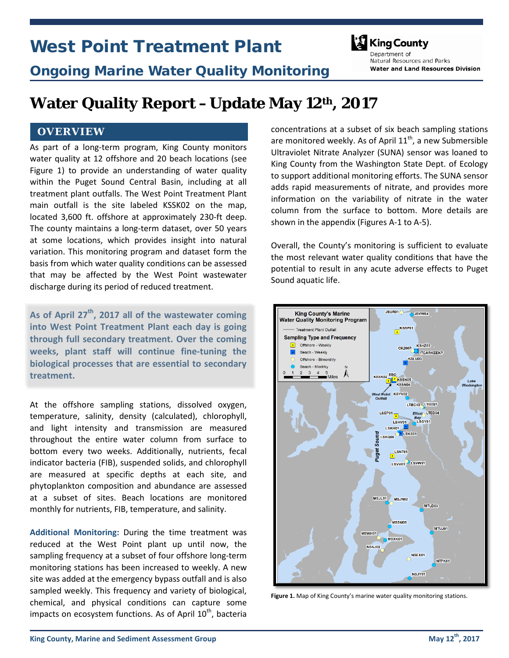# West Point Treatment Plant



Natural Resources and Parks

**Water and Land Resources Division** 

Ongoing Marine Water Quality Monitoring

## **Water Quality Report –Update May 12th, 2017**

#### **OVERVIEW**

As part of a long-term program, King County monitors water quality at 12 offshore and 20 beach locations (see Figure 1) to provide an understanding of water quality within the Puget Sound Central Basin, including at all treatment plant outfalls. The West Point Treatment Plant main outfall is the site labeled KSSK02 on the map, located 3,600 ft. offshore at approximately 230-ft deep. The county maintains a long-term dataset, over 50 years at some locations, which provides insight into natural variation. This monitoring program and dataset form the basis from which water quality conditions can be assessed that may be affected by the West Point wastewater discharge during its period of reduced treatment.

**As of April 27th, 2017 all of the wastewater coming into West Point Treatment Plant each day is going through full secondary treatment. Over the coming weeks, plant staff will continue fine-tuning the biological processes that are essential to secondary treatment.**

At the offshore sampling stations, dissolved oxygen, temperature, salinity, density (calculated), chlorophyll, and light intensity and transmission are measured throughout the entire water column from surface to bottom every two weeks. Additionally, nutrients, fecal indicator bacteria (FIB), suspended solids, and chlorophyll are measured at specific depths at each site, and phytoplankton composition and abundance are assessed at a subset of sites. Beach locations are monitored monthly for nutrients, FIB, temperature, and salinity.

**Additional Monitoring:** During the time treatment was reduced at the West Point plant up until now, the sampling frequency at a subset of four offshore long-term monitoring stations has been increased to weekly. A new site was added at the emergency bypass outfall and is also sampled weekly. This frequency and variety of biological, chemical, and physical conditions can capture some impacts on ecosystem functions. As of April 10<sup>th</sup>, bacteria

concentrations at a subset of six beach sampling stations are monitored weekly. As of April  $11<sup>th</sup>$ , a new Submersible Ultraviolet Nitrate Analyzer (SUNA) sensor was loaned to King County from the Washington State Dept. of Ecology to support additional monitoring efforts. The SUNA sensor adds rapid measurements of nitrate, and provides more information on the variability of nitrate in the water column from the surface to bottom. More details are shown in the appendix (Figures A-1 to A-5).

Overall, the County's monitoring is sufficient to evaluate the most relevant water quality conditions that have the potential to result in any acute adverse effects to Puget Sound aquatic life.



**Figure 1.** Map of King County's marine water quality monitoring stations.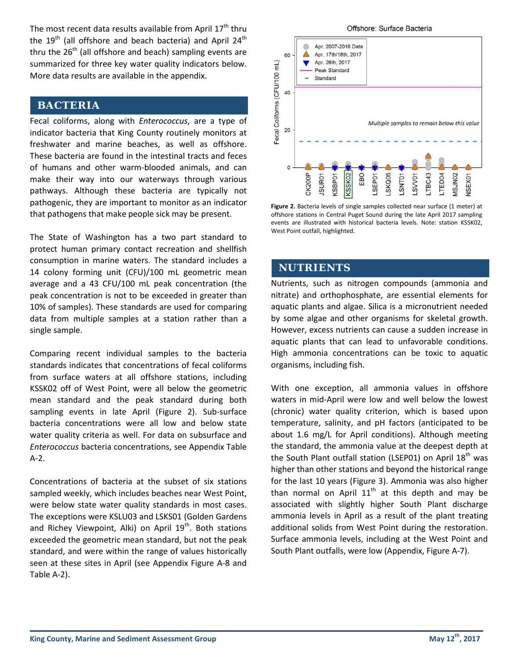The most recent data results available from April  $17<sup>th</sup>$  thru the 19<sup>th</sup> (all offshore and beach bacteria) and April 24<sup>th</sup> thru the  $26<sup>th</sup>$  (all offshore and beach) sampling events are summarized for three key water quality indicators below. More data results are available in the appendix.

#### **BACTERIA**

Fecal coliforms, along with *Enterococcus*, are a type of indicator bacteria that King County routinely monitors at freshwater and marine beaches, as well as offshore. These bacteria are found in the intestinal tracts and feces of humans and other warm-blooded animals, and can make their way into our waterways through various pathways. Although these bacteria are typically not pathogenic, they are important to monitor as an indicator that pathogens that make people sick may be present.

The State of Washington has a two part standard to protect human primary contact recreation and shellfish consumption in marine waters. The standard includes a 14 colony forming unit (CFU)/100 mL geometric mean average and a 43 CFU/100 mL peak concentration (the peak concentration is not to be exceeded in greater than 10% of samples). These standards are used for comparing data from multiple samples at a station rather than a single sample.

Comparing recent individual samples to the bacteria standards indicates that concentrations of fecal coliforms from surface waters at all offshore stations, including KSSK02 off of West Point, were all below the geometric mean standard and the peak standard during both sampling events in late April (Figure 2). Sub-surface bacteria concentrations were all low and below state water quality criteria as well. For data on subsurface and *Enterococcus* bacteria concentrations, see Appendix Table A-2.

Concentrations of bacteria at the subset of six stations sampled weekly, which includes beaches near West Point, were below state water quality standards in most cases. The exceptions were KSLU03 and LSKS01 (Golden Gardens and Richey Viewpoint, Alki) on April  $19<sup>th</sup>$ . Both stations exceeded the geometric mean standard, but not the peak standard, and were within the range of values historically seen at these sites in April (see Appendix Figure A-8 and Table A-2).



Figure 2. Bacteria levels of single samples collected near surface (1 meter) at offshore stations in Central Puget Sound during the late April 2017 sampling events are illustrated with historical bacteria levels. Note: station KSSK02, West Point outfall, highlighted.

#### **NUTRIENTS**

Nutrients, such as nitrogen compounds (ammonia and nitrate) and orthophosphate, are essential elements for aquatic plants and algae. Silica is a micronutrient needed by some algae and other organisms for skeletal growth. However, excess nutrients can cause a sudden increase in aquatic plants that can lead to unfavorable conditions. High ammonia concentrations can be toxic to aquatic organisms, including fish.

With one exception, all ammonia values in offshore waters in mid-April were low and well below the lowest (chronic) water quality criterion, which is based upon temperature, salinity, and pH factors (anticipated to be about 1.6 mg/L for April conditions). Although meeting the standard, the ammonia value at the deepest depth at the South Plant outfall station (LSEP01) on April  $18<sup>th</sup>$  was higher than other stations and beyond the historical range for the last 10 years (Figure 3). Ammonia was also higher than normal on April  $11<sup>th</sup>$  at this depth and may be associated with slightly higher South Plant discharge ammonia levels in April as a result of the plant treating additional solids from West Point during the restoration. Surface ammonia levels, including at the West Point and South Plant outfalls, were low (Appendix, Figure A-7).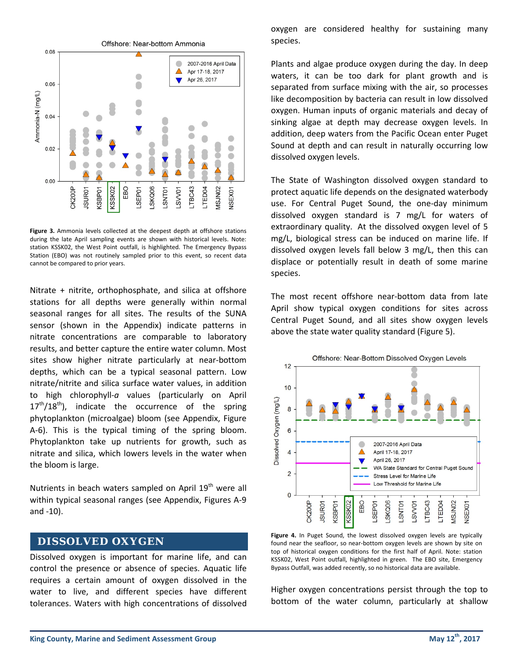

**Figure 3.** Ammonia levels collected at the deepest depth at offshore stations during the late April sampling events are shown with historical levels. Note: station KSSK02, the West Point outfall, is highlighted. The Emergency Bypass Station (EBO) was not routinely sampled prior to this event, so recent data cannot be compared to prior years.

Nitrate + nitrite, orthophosphate, and silica at offshore stations for all depths were generally within normal seasonal ranges for all sites. The results of the SUNA sensor (shown in the Appendix) indicate patterns in nitrate concentrations are comparable to laboratory results, and better capture the entire water column. Most sites show higher nitrate particularly at near-bottom depths, which can be a typical seasonal pattern. Low nitrate/nitrite and silica surface water values, in addition to high chlorophyll-*a* values (particularly on April  $17<sup>th</sup>/18<sup>th</sup>$ ), indicate the occurrence of the spring phytoplankton (microalgae) bloom (see Appendix, Figure A-6). This is the typical timing of the spring bloom. Phytoplankton take up nutrients for growth, such as nitrate and silica, which lowers levels in the water when the bloom is large.

Nutrients in beach waters sampled on April  $19<sup>th</sup>$  were all within typical seasonal ranges (see Appendix, Figures A-9 and -10).

#### **DISSOLVED OXYGEN**

Dissolved oxygen is important for marine life, and can control the presence or absence of species. Aquatic life requires a certain amount of oxygen dissolved in the water to live, and different species have different tolerances. Waters with high concentrations of dissolved

oxygen are considered healthy for sustaining many species.

Plants and algae produce oxygen during the day. In deep waters, it can be too dark for plant growth and is separated from surface mixing with the air, so processes like decomposition by bacteria can result in low dissolved oxygen. Human inputs of organic materials and decay of sinking algae at depth may decrease oxygen levels. In addition, deep waters from the Pacific Ocean enter Puget Sound at depth and can result in naturally occurring low dissolved oxygen levels.

The State of Washington dissolved oxygen standard to protect aquatic life depends on the designated waterbody use. For Central Puget Sound, the one-day minimum dissolved oxygen standard is 7 mg/L for waters of extraordinary quality. At the dissolved oxygen level of 5 mg/L, biological stress can be induced on marine life. If dissolved oxygen levels fall below 3 mg/L, then this can displace or potentially result in death of some marine species.

The most recent offshore near-bottom data from late April show typical oxygen conditions for sites across Central Puget Sound, and all sites show oxygen levels above the state water quality standard (Figure 5).



Figure 4. In Puget Sound, the lowest dissolved oxygen levels are typically found near the seafloor, so near-bottom oxygen levels are shown by site on top of historical oxygen conditions for the first half of April. Note: station KSSK02, West Point outfall, highlighted in green. The EBO site, Emergency Bypass Outfall, was added recently, so no historical data are available.

Higher oxygen concentrations persist through the top to bottom of the water column, particularly at shallow